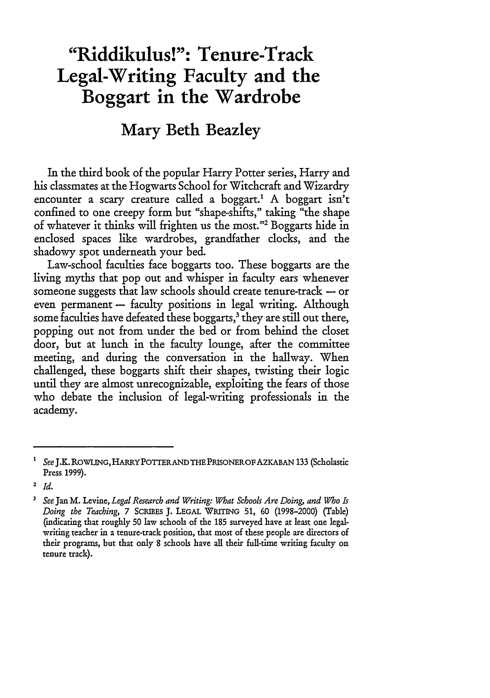# **"Riddikulus!": Tenure-Track Legal-Writing Faculty and the Boggart in the Wardrobe**

# **Mary Beth Beazley**

In the third book of the popular Harry Potter series, Harry and his classmates at the Hogwarts School for Witchcraft and Wizardry encounter a scary creature called a boggart.<sup>1</sup> A boggart isn't confined to one creepy form but "shape-shifts," taking "the shape of whatever it thinks will frighten us the most."2 Boggarts hide in enclosed spaces like wardrobes, grandfather clocks, and the shadowy spot underneath your bed.

Law-school faculties face boggarts too. These boggarts are the living myths that pop out and whisper in faculty ears whenever someone suggests that law schools should create tenure-track  $-$  or even permanent - faculty positions in legal writing. Although some faculties have defeated these boggarts,<sup>3</sup> they are still out there, popping out not from under the bed or from behind the closet door, but at lunch in the faculty lounge, after the committee meeting, and during the conversation in the hallway. When challenged, these boggarts shift their shapes, twisting their logic until they are almost unrecognizable, exploiting the fears of those who debate the inclusion of legal-writing professionals in the academy.

See J.K. ROWLING, HARRY POTTER AND THE PRISONER OF AZKABAN 133 (Scholastic Press 1999).

<sup>2</sup>*Id.*

<sup>3</sup> *See* **Jan** M. Levine, *Legal Research and Writing: What Schools Are Doing, and Who Is Doing the Teaching,* 7 SCRMES J. LEGAL WRrrING 51, 60 (1998-2000) (Table) (indicating that roughly 50 law schools of the **185** surveyed have at least one legalwriting teacher in a tenure-track position, that most of these people are directors of their programs, but that only 8 schools have all their full-time writing faculty on tenure track).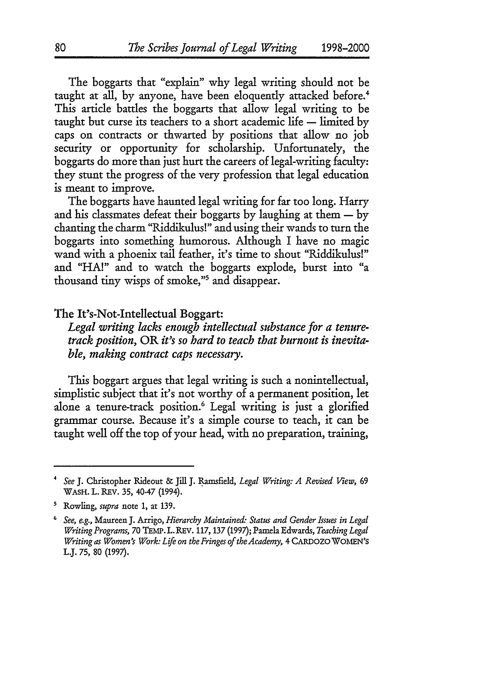The boggarts that "explain" why legal writing should not be taught at all, by anyone, have been eloquently attacked before.<sup>4</sup> This article battles the boggarts that allow legal writing to be taught but curse its teachers to a short academic life  $-$  limited by caps on contracts or thwarted by positions that allow no job security or opportunity for scholarship. Unfortunately, the boggarts do more than just hurt the careers of legal-writing faculty: they stunt the progress of the very profession that legal education is meant to improve.

The boggarts have haunted legal writing for far too long. Harry and his classmates defeat their boggarts by laughing at them  $-$  by chanting the charm "Riddikulus!" and using their wands to turn the boggarts into something humorous. Although I have no magic wand with a phoenix tail feather, it's time to shout "Riddikulus!" and "HA!" and to watch the boggarts explode, burst into "a thousand tiny wisps of smoke,"5 and disappear.

#### The It's-Not-Intellectual Boggart:

*Legal writing lacks enough intellectual substance for a tenuretrack position,* OR *it's so hard to teach that burnout is inevitable, making contract caps necessary.*

This boggart argues that legal writing is such a nonintellectual, simplistic subject that it's not worthy of a permanent position, let alone a tenure-track position.<sup>6</sup> Legal writing is just a glorified grammar course. Because it's a simple course to teach, it can be taught well off the top of your head, with no preparation, training,

<sup>4</sup> *See* J. Christopher Rideout **&** Jill **J.** Ramsfield, *Legal Writing: A Revised View, 69* WASH. L. REV. 35, 40-47 (1994).

s Rowling, *supra* note 1, at 139.

See, e.g., Maureen J. Arrigo, *Hierarchy Maintained: Status and Gender Issues in Legal Writing Programs,* 70 TEMP. L.REv. 117, 137 (1997); Pamela Edwards, *Teaching Legal Writing as Women's Work: Life on the Fringes of the Academy,* 4 CARDOZO WOMEN'S L.J. 75, 80 (1997).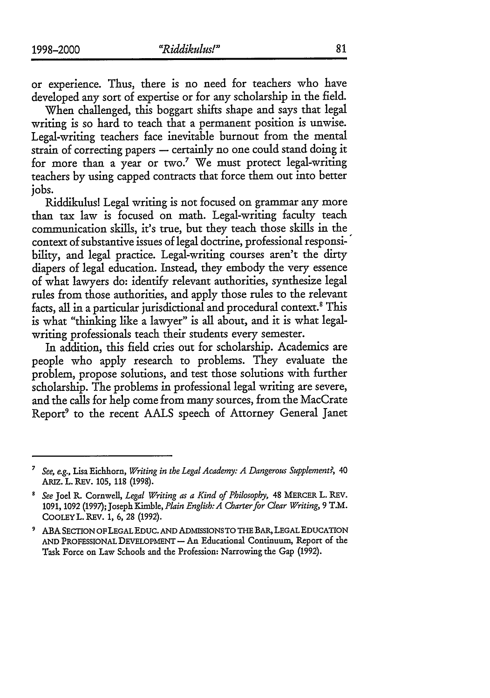or experience. Thus, there is no need for teachers who have developed any sort of expertise or for any scholarship in the field.

When challenged, this boggart shifts shape and says that legal writing is so hard to teach that a permanent position is unwise. Legal-writing teachers face inevitable burnout from the mental strain of correcting papers - certainly no one could stand doing it for more than a year or two.7 We must protect legal-writing teachers by using capped contracts that force them out into better jobs.

Riddikulus! Legal writing is not focused on grammar any more than tax law is focused on math. Legal-writing faculty teach communication skills, it's true, but they teach those skills in the context of substantive issues of legal doctrine, professional responsi-' bility, and legal practice. Legal-writing courses aren't the dirty diapers of legal education. Instead, they embody the very essence of what lawyers do: identify relevant authorities, synthesize legal rules from those authorities, and apply those rules to the relevant facts, all in a particular jurisdictional and procedural context.<sup>8</sup> This is what "thinking like a lawyer" is all about, and it is what legalwriting professionals teach their students every semester.

In addition, this field cries out for scholarship. Academics are people who apply research to problems. They evaluate the problem, propose solutions, and test those solutions with further scholarship. The problems in professional legal writing are severe, and the calls for help come from many sources, from the MacCrate Report9 to the recent AALS speech of Attorney General Janet

*<sup>7</sup> See, e.g.,* Lisa Eichhorn, *Writing in the Legal Academy: A Dangerous Supplement?, 40* **ARIZ.** L. REV. 105, 118 (1998).

*See* Joel R. Cornwell, *Legal Writing as a Kind of Philosophy,* 48 MERCER L. REV. **1091,** 1092 **(1997);** Joseph Kimble, *Plain English:A Charter for Clear Writing, 9* T.M. COOLEYL. REV. **1,** 6, **28** (1992).

**<sup>9</sup>** ABA SECTION OF LEGAL EDUC. AND ADMISSIONS TO THE BAR, LEGAL EDUCATION AND PROFESSIONAL DEVELOPMENT - An Educational Continuum, Report of the Task Force on Law Schools and the Profession: Narrowing the Gap **(1992).**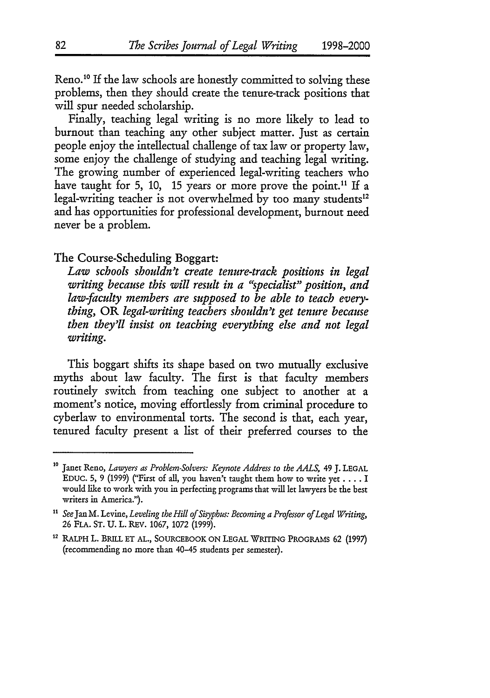Reno.<sup>10</sup> If the law schools are honestly committed to solving these problems, then they should create the tenure-track positions that will spur needed scholarship.

Finally, teaching legal writing is no more likely to lead to burnout than teaching any other subject matter. Just as certain people enjoy the intellectual challenge of tax law or property law, some enjoy the challenge of studying and teaching legal writing. The growing number of experienced legal-writing teachers who have taught for 5, 10, 15 years or more prove the point.<sup>11</sup> If a legal-writing teacher is not overwhelmed by too many students<sup>12</sup> and has opportunities for professional development, burnout need never be a problem.

### The Course-Scheduling Boggart:

*Law schools shouldn't create tenure-track positions in legal writing because this will result in a "specialist" position, and law-faculty members are supposed to be able to teach everything,* OR *legal-writing teachers shouldn't get tenure because then they'll insist on teaching everything else and not legal writing.*

This boggart shifts its shape based on two mutually exclusive myths about law faculty. The first is that faculty members routinely switch from teaching one subject to another at a moment's notice, moving effortlessly from criminal procedure to cyberlaw to environmental torts. The second is that, each year, tenured faculty present a list of their preferred courses to the

**<sup>10</sup>** Janet Reno, *Lawyers as Problem-Solvers: Keynote Address to the AALS, 49* **J.** LEGAL EDUC. 5, 9 (1999) ("First of all, you haven't taught them how to write yet **....** I would like to work with you in perfecting programs that will let lawyers be the best writers in America.").

n *See* Jan M. Levine, *Leveling the Hill of Sisyphus: Becoming a Profesor of Legal Writing,* **26 FLA.** ST. U. L. REV. **1067, 1072 (1999).**

<sup>12</sup> RALPH L. BRILL ET AL., SOURCEBOOK ON LEGAL WRITING PROGRAMS 62 (1997) (recommending no more than 40-45 students per semester).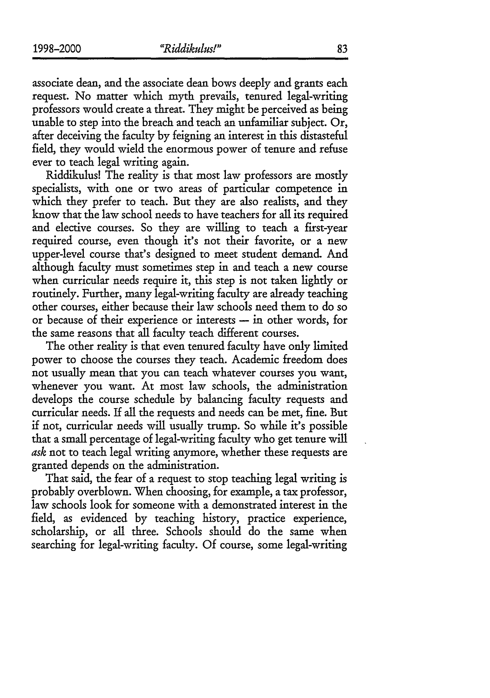associate dean, and the associate dean bows deeply and grants each request. No matter which myth prevails, tenured legal-writing professors would create a threat. They might be perceived as being unable to step into the breach and teach an unfamiliar subject. Or, after deceiving the faculty by feigning an interest in this distasteful field, they would wield the enormous power of tenure and refuse ever to teach legal writing again.

Riddikulus! The reality is that most law professors are mostly specialists, with one or two areas of particular competence in which they prefer to teach. But they are also realists, and they know that the law school needs to have teachers for all its required and elective courses. So they are willing to teach a first-year required course, even though it's not their favorite, or a new upper-level course that's designed to meet student demand. And although faculty must sometimes step in and teach a new course when curricular needs require it, this step is not taken lightly or routinely. Further, many legal-writing faculty are already teaching other courses, either because their law schools need them to do so or because of their experience or interests - in other words, for the same reasons that all faculty teach different courses.

The other reality is that even tenured faculty have only limited power to choose the courses they teach. Academic freedom does not usually mean that you can teach whatever courses you want, whenever you want. At most law schools, the administration develops the course schedule by balancing faculty requests and curricular needs. If all the requests and needs can be met, fine. But if not, curricular needs will usually trump. So while it's possible that a small percentage of legal-writing faculty who get tenure will *ask* not to teach legal writing anymore, whether these requests are granted depends on the administration.

That said, the fear of a request to stop teaching legal writing is probably overblown. When choosing, for example, a tax professor, law schools look for someone with a demonstrated interest in the field, as evidenced by teaching history, practice experience, scholarship, or all three. Schools should do the same when searching for legal-writing faculty. Of course, some legal-writing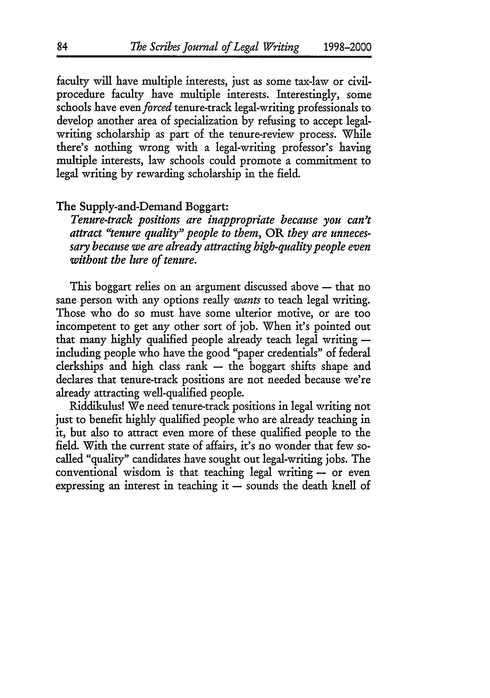faculty will have multiple interests, just as some tax-law or civilprocedure faculty have multiple interests. Interestingly, some schools have *even forced* tenure-track legal-writing professionals to develop another area of specialization by refusing to accept legalwriting scholarship as part of the tenure-review process. While there's nothing wrong with a legal-writing professor's having multiple interests, law schools could promote a commitment to legal writing by rewarding scholarship in the field.

## The Supply-and-Demand Boggart:

*Tenure-track positions are inappropriate because you can't attract "tenure quality" people to them,* OR *they are unnecessary because we are already attracting high-quality people even without the lure of tenure.*

This boggart relies on an argument discussed above  $-$  that no sane person with any options really *wants* to teach legal writing. Those who do so must have some ulterior motive, or are too incompetent to get any other sort of **job.** When it's pointed out that many highly qualified people already teach legal writing  $$ including people who have the good "paper credentials" of federal  $c$ lerkships and high class rank  $-$  the boggart shifts shape and declares that tenure-track positions are not needed because we're already attracting well-qualified people.

Riddikulus! We need tenure-track positions in legal writing not just to benefit highly qualified people who are already teaching in it, but also to attract even more of these qualified people to the field. With the current state of affairs, it's no wonder that few socalled "quality" candidates have sought out legal-writing jobs. The conventional wisdom is that teaching legal writing -- or even expressing an interest in teaching it  $-$  sounds the death knell of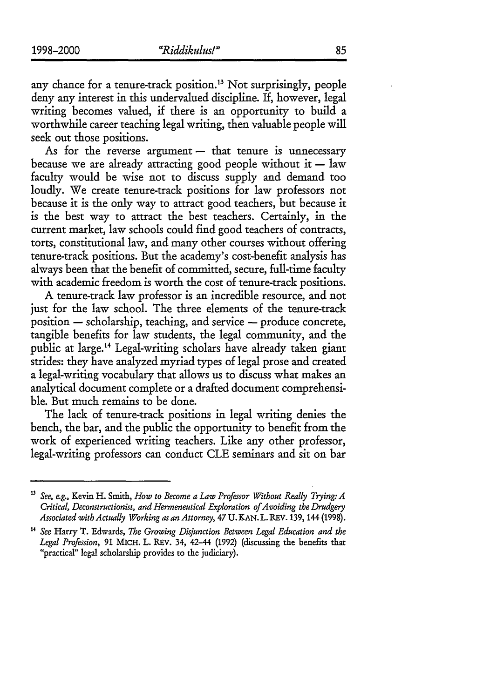any chance for a tenure-track position. 13 Not surprisingly, people deny any interest in this undervalued discipline. If, however, legal writing becomes valued, if there is an opportunity to build a worthwhile career teaching legal writing, then valuable people will seek out those positions.

As for the reverse argument  $-$  that tenure is unnecessary because we are already attracting good people without it  $-$  law faculty would be wise not to discuss supply and demand too loudly. We create tenure-track positions for law professors not because it is the only way to attract good teachers, but because it is the best way to attract the best teachers. Certainly, in the current market, law schools could find good teachers of contracts, torts, constitutional law, and many other courses without offering tenure-track positions. But the academy's cost-benefit analysis has always been that the benefit of committed, secure, full-time faculty with academic freedom is worth the cost of tenure-track positions.

A tenure-track law professor is an incredible resource, and not just for the law school. The three elements of the tenure-track  $position$  - scholarship, teaching, and service  $-$  produce concrete, tangible benefits for law students, the legal community, and the public at large. 14 Legal-writing scholars have already taken giant strides: they have analyzed myriad types of legal prose and created a legal-writing vocabulary that allows us to discuss what makes an analytical document complete or a drafted document comprehensible. But much remains to be done.

The lack of tenure-track positions in legal writing denies the bench, the bar, and the public the opportunity to benefit from the work of experienced writing teachers. Like any other professor, legal-writing professors can conduct CLE seminars and sit on bar

**<sup>13</sup>***See, e.g.,* Kevin H. Smith, *How to Become a Law Professor Without Really Trying: A Critical, Deconstructionist, and Hermeneutical Exploration of Avoiding the Drudgery Associated with Actually Working as an Attorney,* 47 U. **KAN.** L. REV. **139,** 144 **(1998).**

**<sup>14</sup>***See* Harry T. Edwards, *The Growing Disjunction Between Legal Education and the Legal Profession,* **91** MICH. L. REV. 34, 42-44 (1992) (discussing the benefits that "practical" legal scholarship provides to the judiciary).